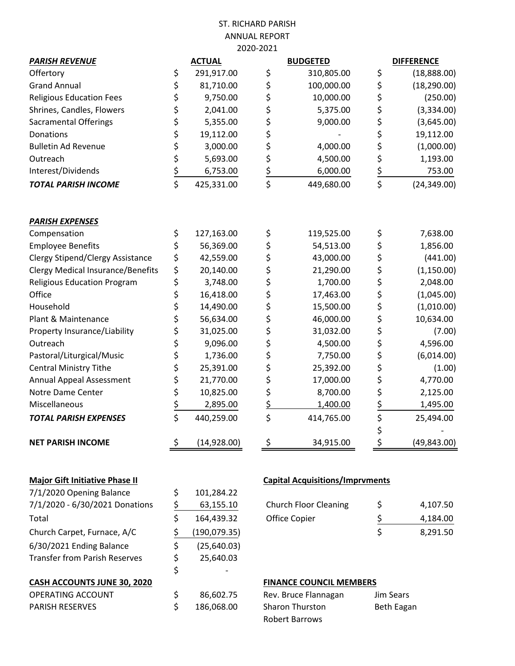## ST. RICHARD PARISH ANNUAL REPORT 2020-2021

| <b>PARISH REVENUE</b>                                            | <b>ACTUAL</b>       |               | <b>BUDGETED</b>                        |               | <b>DIFFERENCE</b> |  |
|------------------------------------------------------------------|---------------------|---------------|----------------------------------------|---------------|-------------------|--|
| Offertory                                                        | \$<br>291,917.00    | \$            | 310,805.00                             | \$            | (18,888.00)       |  |
| <b>Grand Annual</b>                                              | \$<br>81,710.00     | \$            | 100,000.00                             | \$            | (18, 290.00)      |  |
| <b>Religious Education Fees</b>                                  | \$<br>9,750.00      | \$            | 10,000.00                              | \$            | (250.00)          |  |
| Shrines, Candles, Flowers                                        | \$<br>2,041.00      | \$            | 5,375.00                               | \$            | (3,334.00)        |  |
| <b>Sacramental Offerings</b>                                     | \$<br>5,355.00      | \$            | 9,000.00                               | \$            | (3,645.00)        |  |
| Donations                                                        | \$<br>19,112.00     | \$            |                                        | \$            | 19,112.00         |  |
| <b>Bulletin Ad Revenue</b>                                       | \$<br>3,000.00      | \$            | 4,000.00                               | \$            | (1,000.00)        |  |
| Outreach                                                         | \$<br>5,693.00      | \$            | 4,500.00                               | \$            | 1,193.00          |  |
| Interest/Dividends                                               | \$<br>6,753.00      | \$            | 6,000.00                               | <u>\$</u>     | 753.00            |  |
| <b>TOTAL PARISH INCOME</b>                                       | \$<br>425,331.00    | \$            | 449,680.00                             | \$            | (24, 349.00)      |  |
| <b>PARISH EXPENSES</b>                                           |                     |               |                                        |               |                   |  |
| Compensation                                                     | \$<br>127,163.00    | \$            | 119,525.00                             | \$            | 7,638.00          |  |
| <b>Employee Benefits</b>                                         | \$<br>56,369.00     | \$            | 54,513.00                              | \$            | 1,856.00          |  |
| Clergy Stipend/Clergy Assistance                                 | \$<br>42,559.00     | \$            | 43,000.00                              | \$            | (441.00)          |  |
| <b>Clergy Medical Insurance/Benefits</b>                         | \$<br>20,140.00     | \$            | 21,290.00                              | \$            | (1, 150.00)       |  |
| <b>Religious Education Program</b>                               | \$<br>3,748.00      | \$            | 1,700.00                               | \$            | 2,048.00          |  |
| Office                                                           | \$<br>16,418.00     | \$            | 17,463.00                              | \$            | (1,045.00)        |  |
| Household                                                        | \$<br>14,490.00     | \$            | 15,500.00                              | \$            | (1,010.00)        |  |
| Plant & Maintenance                                              | \$<br>56,634.00     | \$            | 46,000.00                              | \$            | 10,634.00         |  |
| Property Insurance/Liability                                     | \$<br>31,025.00     | \$            | 31,032.00                              | \$            | (7.00)            |  |
| Outreach                                                         | \$<br>9,096.00      | \$            | 4,500.00                               | \$            | 4,596.00          |  |
| Pastoral/Liturgical/Music                                        | \$<br>1,736.00      | \$            | 7,750.00                               | \$            | (6,014.00)        |  |
| <b>Central Ministry Tithe</b>                                    | \$<br>25,391.00     | \$            | 25,392.00                              | \$            | (1.00)            |  |
| Annual Appeal Assessment                                         | \$<br>21,770.00     | \$            | 17,000.00                              | \$            | 4,770.00          |  |
| Notre Dame Center                                                | \$<br>10,825.00     | \$            | 8,700.00                               | \$            | 2,125.00          |  |
| Miscellaneous                                                    | \$<br>2,895.00      | \$            | 1,400.00                               | <u>\$</u>     | 1,495.00          |  |
| <b>TOTAL PARISH EXPENSES</b>                                     | \$<br>440,259.00    | \$            | 414,765.00                             | \$            | 25,494.00         |  |
|                                                                  |                     |               |                                        | \$            |                   |  |
| <b>NET PARISH INCOME</b>                                         | \$<br>(14, 928.00)  | \$            | 34,915.00                              | \$            | (49, 843.00)      |  |
| <b>Major Gift Initiative Phase II</b>                            |                     |               | <b>Capital Acquisitions/Imprvments</b> |               |                   |  |
| 7/1/2020 Opening Balance                                         | \$<br>101,284.22    |               |                                        |               |                   |  |
| 7/1/2020 - 6/30/2021 Donations                                   | \$<br>63,155.10     |               | <b>Church Floor Cleaning</b>           | \$            | 4,107.50          |  |
| Total                                                            | \$<br>164,439.32    | Office Copier |                                        |               | 4,184.00          |  |
| Church Carpet, Furnace, A/C                                      | \$<br>(190, 079.35) |               |                                        | <u>ې</u><br>ک | 8,291.50          |  |
|                                                                  | \$                  |               |                                        |               |                   |  |
| 6/30/2021 Ending Balance<br><b>Transfer from Parish Reserves</b> | (25, 640.03)        |               |                                        |               |                   |  |
|                                                                  | \$<br>25,640.03     |               |                                        |               |                   |  |
|                                                                  | \$                  |               |                                        |               |                   |  |

| <b>CASH ACCOUNTS JUNE 30, 2020</b> | <b>FINANCE COUNCIL MEMBERS</b> |                        |            |
|------------------------------------|--------------------------------|------------------------|------------|
| OPERATING ACCOUNT                  | 86.602.75                      | Rev. Bruce Flannagan   | Jim Sears  |
| <b>PARISH RESERVES</b>             | 186.068.00                     | <b>Sharon Thurston</b> | Beth Eagan |
|                                    |                                | <b>Robert Barrows</b>  |            |